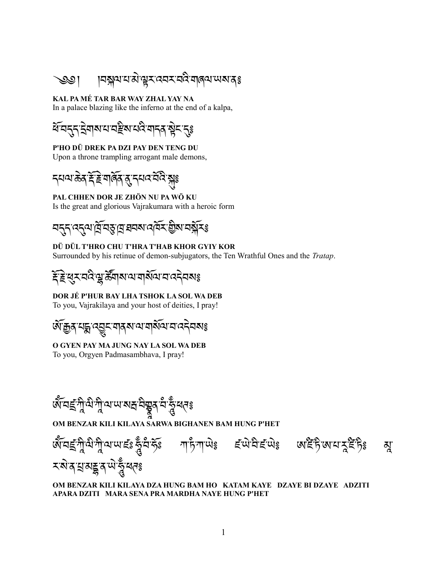্ঞା ।বষ্ক্লঝযারীস্থার্যবের্মবর্মী ব্রাজ্ঞানেঃ

## **KAL PA MÉ TAR BAR WAY ZHAL YAY NA**

In a palace blazing like the inferno at the end of a kalpa,

শ্বিন্ন ইনাৰামান্দ্ৰীৰ বিষয়া বিষ্ণু বিষ্ণ

**P'HO DÜ DREK PA DZI PAY DEN TENG DU** Upon a throne trampling arrogant male demons,

དཔལ་ཆམེན་རཕོ་རམེ་གཞཕོན་ནདུ་དཔའ་བབོའི་སྐསྐུ༔

### **PAL CHHEN DOR JE ZHÖN NU PA WÖ KU**

Is the great and glorious Vajrakumara with a heroic form

<u>ন্দ্ৰ্ৰ্ ৰ্ব্ৰ্ম্ ৰ্য্ম্ ব্ৰ্ম্ম্ৰ্ৰ্ম্ম্ৰ্ৰ্ম্ম্ছ</u>

**DÜ DÜL T'HRO CHU T'HRA T'HAB KHOR GYIY KOR** Surrounded by his retinue of demon-subjugators, the Ten Wrathful Ones and the *Tratap*.

# <u> ই</u>দ্ধুম বৰ্ষ শ্ৰুষ্ট্ৰিমা ৰামৰ অধিকাৰ বেন বিষয়

**DOR JÉ P'HUR BAY LHA TSHOK LA SOL WA DEB**

To you, Vajrakilaya and your host of deities, I pray!

ཨཕོ་རྒྱན་པདྨ་འབབྱུང་གནས་ལ་གསཕོལ་བ་འདམེབས༔

### **O GYEN PAY MA JUNG NAY LA SOL WA DEB**

To you, Orgyen Padmasambhava, I pray!



**OM BENZAR KILI KILAYA SARWA BIGHANEN BAM HUNG P'HET**



#### **OM BENZAR KILI KILAYA DZA HUNG BAM HO KATAM KAYE DZAYE BI DZAYE ADZITI APARA DZITI MARA SENA PRA MARDHA NAYE HUNG P'HET**